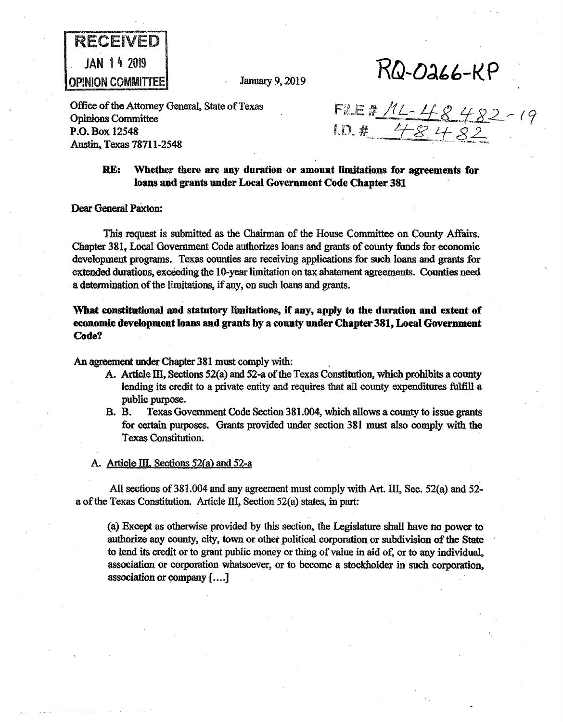

 $RQ-0a66-RP$ 

Office of the Attorney General, State of Texas Opinions Committee P.O. Box 12548 Austin, Texas 78711-2548

FILE # 11 - 48 482 - 19<br>1D. # 48 482

# **RE:** Whether there are any duration or amount limitations for agreements for **loans and grants under Local Govemment Code Chapter 381**

Dear General Paxton:

This request is submitted as the Chairman of the House Committee on County Affairs. Chapter 381, Local Government Code authorizes loans and grants of county funds for economic development programs. Texas counties are receiving applications for such loans and grants for extended durations, exceeding the 10-year limitation on tax abatement agreements. Counties need a determination of the limitations, if any, on such loans and grants.

**What constitutional and statutory limitations,** if **any, apply to the duration and extent of eeonomie development loans and grants by a county under Chapter 381, Local Govemment Code?** 

An agreement under Chapter 381 must comply with:

- A. Article III, Sections  $52(a)$  and  $52-a$  of the Texas Constitution, which prohibits a county lending its credit to a private entity and requires that all county expenditures fulfill a public purpose.
- B. B. Texas Government Code Section 381.004, which allows a county to issue grants for certain purposes.· Grants provided under section 381 must also comply with the Texas Constitution.
- A. Article III, Sections 52(a) and 52-a

All sections of  $381.004$  and any agreement must comply with Art. III, Sec.  $52(a)$  and  $52$ a of the Texas Constitution. Article III, Section 52(a) states, in part:

(a) Except as otherwise provided by this section, the Legislature shall have no power to authorize any county, city, town or other political corporation or subdivision of the State to lend its credit or to grant public money or thing of value in aid of, or to any individual, association or corporation whatsoever, or to become a stockholder in such corporation. association or company [....]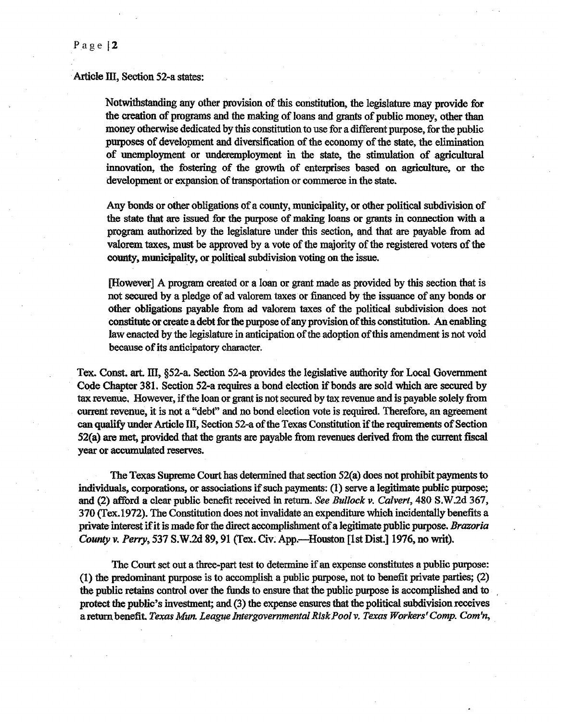#### Article III, Section 52-a states:

Notwithstanding any other provision of this constitution~ the legislature may provide for the creation of programs and the making of loans and grants of public money, other than money otherwise dedicated by this constitution to use for a different purpose, for the public purposes of development and diversification of the economy of the state, the elimination of unemployment or underemployment in the state, the stimulation of agricultural innovation, the fostering of the growth of enterprises based on agriculture, or the development or expansion of transportation or commerce in the state.

Any bonds or other obligations of a county, municipality, or other political subdivision of the state that are issued for the purpose of making loans or grants in connection with a program authorized by the legislature under this section, and that are payable from ad valorem taxes, must be approved by a vote of the majority of the registered voters of the county, municipality, or political subdivision voting on the issue.

[However] A program created or a loan or grant made as provided by this section that is not secured by a pledge of ad valorem taxes or financed by the issuance of any bonds or other obligations payable from ad valorem taxes of the political subdivision does not constitute or create a debt for the purpose of any provision of this constitution. An enabling law enacted by the legislature in anticipation of the adoption of this amendment is not void because of its anticipatory character.

Tex. Const. art. III, §52-a. Section 52-a provides the legislative authority for Local Government Code Chapter 381. Section 52-a requires a bond election if bonds are sold which are secured by tax revenue. However, if the loan or grant is not secured by tax revenue and is payable solely from current revenue, it is not a "debt" and no bond election vote is required. Therefore, an agreement can qualify under Article III, Section 52-a of the Texas Constitution. if the requirements of Section 52(a) are met, provided that the grants are payable from revenues derived from the current fiscal year or accumulated reserves.

The Texas Supreme Court has detennined that section 52(a) does not prohibit payments to individuals, corporations, or associations if such payments: (1) serve a legitimate public purpose; and (2) afford a clear public benefit received in return. *See Bullock v. Calvert,* 480 S.W2d 367, 370 (Tex.1972). The Constitution does not invalidate an expenditure which incidentally benefits a private interest if it is made for the direct accomplishment of a legitimate public purpose. *Brazoria County v. Perry, 531* S.W .2d 89, 91 (Tex. Civ~ App.-Houston [1st Dist.] 1976, no writ).

The Court set out a three-part test to determine if an expense constitutes a public purpose: (1) the predominant purpose is to accomplish a public purpose, not to benefit private parties; (2) the public retains control over the funds to ensure that the public purpose is accomplished and to protect the public's investment; and (3) the expense ensures that the political subdivision receives a return benefit. *Texas Mun. League Intergovernmental Risk Pool v. Texas Workers' Comp. Com'n,* 

Page  $|2$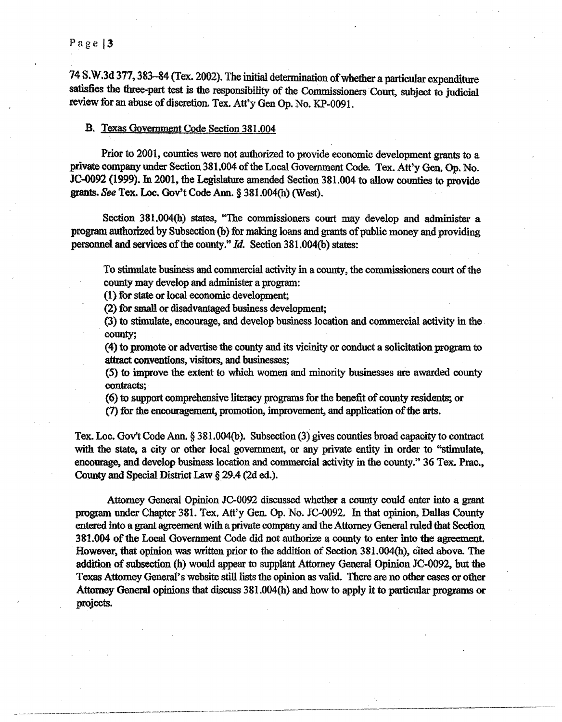## Page | 3

74 S.W.3d 377, 383-84 (Tex. 2002). The initial detennination of whether a particular expenditure satisfies the three-part test is the responsibility of the Commissioners Court, subject to judicial review for an abuse of discretion. Tex. Att'y Gen Op. No. KP-0091.

### B. Texas Government Code Section 381.004

Prior to 2001, counties were not authorized to provide economic development grants to a private company under Section 381.004 of the Local Government Code. Tex. Att'y Gen. Op. No. JC-0092 (1999). In 2001, the Legislature amended Section 381.004 to allow counties to provide grants. *See* Tex. Loe. Gov't Code Ann. § 381.004(h) (West).

Section 381,004(h) states, "The commissioners court may develop and administer a program authorized by Subsection (b} for making loans and grants of public money and providing personnel and services of the county/' *Id.* Section 381.004(b) states:

To stimulate business and commercial activity in a county, the commissioners court of the county may develop and administer a program:

(1) for state or local economic development;

(2) for small or disadvantaged business development;

(3) to stimulate, encourage, and develop business location and commercial activity in the county;

(4) to promote or advertise the county and its vicinity or conduct a solicitation program to attract conventions, visitors, and businesses;

(5) to improve the extent to which women and minority businesses are awarded county contracts;

(6) to support comprehensive literacy programs for the benefit of county residents; or

(7) for the encouragement, promotion, improvement, and application of the arts.

Tex. Loe. Gov't Code Ann. § 381.004(b). Subsection (3) gives counties broad capacity to contract with the state, a city or other local government, or any private entity in order to "stimulate, encourage, and develop business location and commercial activity in the county." 36 Tex. Prac., County and Special District Law  $\S 29.4$  (2d ed.).

Attorney General Opinion JC-0092 discussed whether a county could enter into a grant program under Chapter 381. Tex, Att'y Gen. Op. No. JC-0092. In that opinion, Dallas County entered into a grant agreement with a private company and the Attorney General ruled that Section 381.004 of the Local Government Code did not authorize a county to enter into the agreement. However, that opinion was written prior to the addition of Section 381.004(h), cited above. The addition of subsection (h) would appear to supplant Attorney General Opinion JC-0092, but the Texas Attorney General's website still lists the opinion as valid. There are no other cases or other Attomey General opinions that discuss 381.004(h) and how to apply it to particular programs or projects.

·-··--···-··------·--···-----·--·---- -------- --------------------------